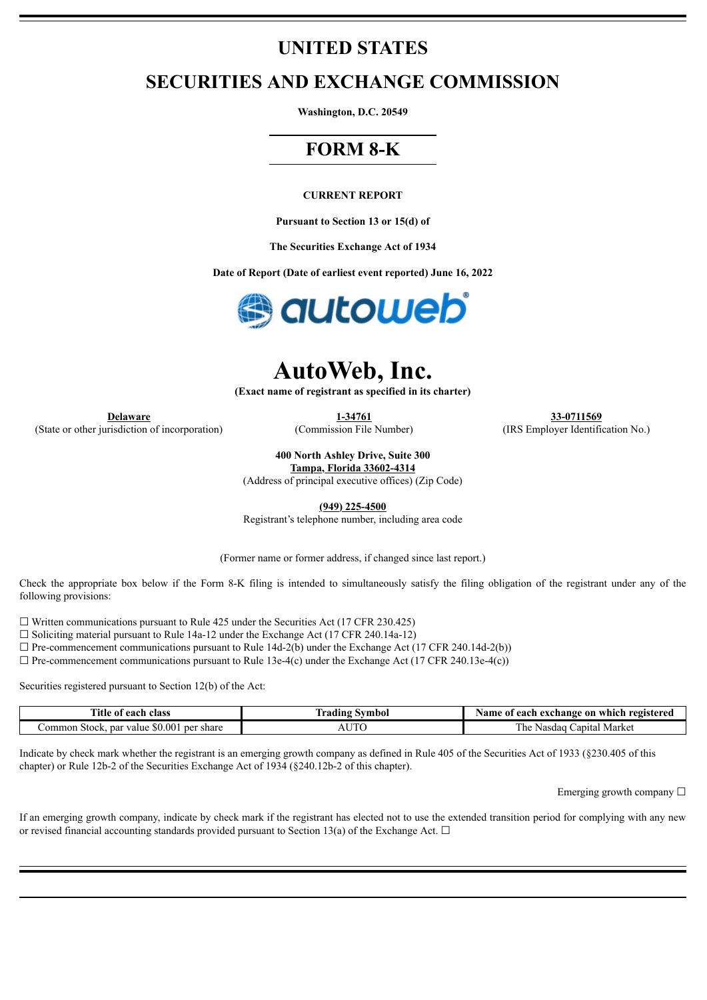## **UNITED STATES**

## **SECURITIES AND EXCHANGE COMMISSION**

**Washington, D.C. 20549**

## **FORM 8-K**

#### **CURRENT REPORT**

**Pursuant to Section 13 or 15(d) of**

**The Securities Exchange Act of 1934**

**Date of Report (Date of earliest event reported) June 16, 2022**



# **AutoWeb, Inc.**

**(Exact name of registrant as specified in its charter)**

(State or other jurisdiction of incorporation) (Commission File Number) (IRS Employer Identification No.)

**Delaware 1-34761 33-0711569**

**400 North Ashley Drive, Suite 300**

**Tampa, Florida 33602-4314** (Address of principal executive offices) (Zip Code)

**(949) 225-4500**

Registrant's telephone number, including area code

(Former name or former address, if changed since last report.)

Check the appropriate box below if the Form 8-K filing is intended to simultaneously satisfy the filing obligation of the registrant under any of the following provisions:

 $\Box$  Written communications pursuant to Rule 425 under the Securities Act (17 CFR 230.425)

☐ Soliciting material pursuant to Rule 14a-12 under the Exchange Act (17 CFR 240.14a-12)

 $\Box$  Pre-commencement communications pursuant to Rule 14d-2(b) under the Exchange Act (17 CFR 240.14d-2(b))

 $\Box$  Pre-commencement communications pursuant to Rule 13e-4(c) under the Exchange Act (17 CFR 240.13e-4(c))

Securities registered pursuant to Section 12(b) of the Act:

| Title of<br>class<br>each                         | Symbol<br>tradıng | e of each exchange on which registered<br>Aame. |
|---------------------------------------------------|-------------------|-------------------------------------------------|
| par value \$0.001<br>per share<br>ommon<br>Stock. | ТС                | Market<br>anital<br>l he<br>Nasdad              |

Indicate by check mark whether the registrant is an emerging growth company as defined in Rule 405 of the Securities Act of 1933 (§230.405 of this chapter) or Rule 12b-2 of the Securities Exchange Act of 1934 (§240.12b-2 of this chapter).

Emerging growth company  $\Box$ 

If an emerging growth company, indicate by check mark if the registrant has elected not to use the extended transition period for complying with any new or revised financial accounting standards provided pursuant to Section 13(a) of the Exchange Act.  $\Box$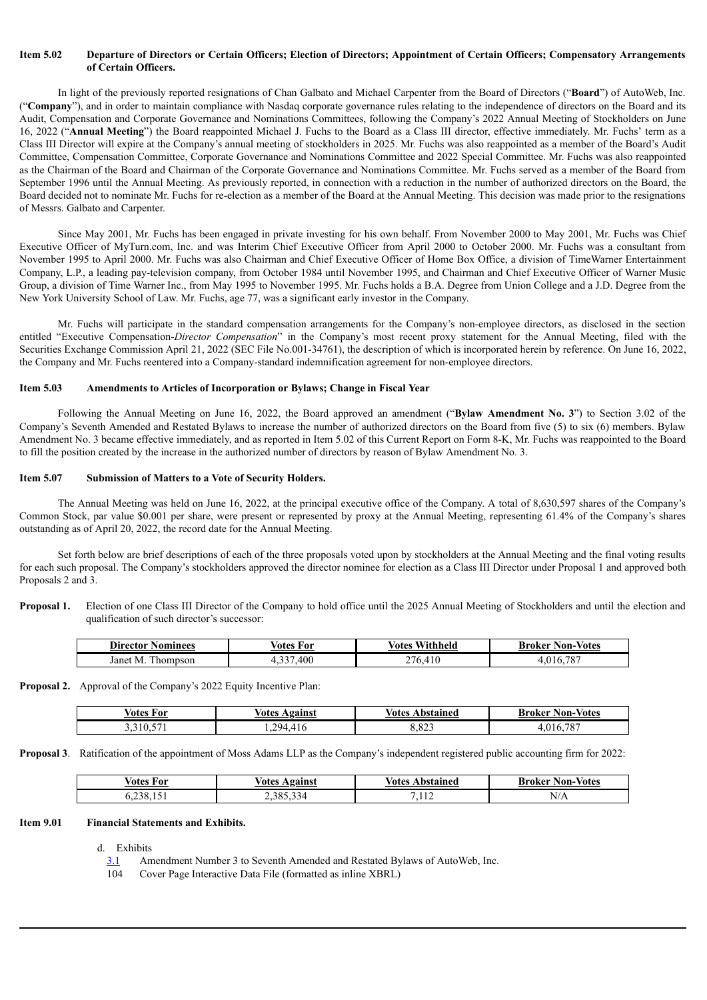#### Item 5.02 Departure of Directors or Certain Officers; Election of Directors; Appointment of Certain Officers; Compensatory Arrangements **of Certain Officers.**

In light of the previously reported resignations of Chan Galbato and Michael Carpenter from the Board of Directors ("**Board**") of AutoWeb, Inc. ("**Company**"), and in order to maintain compliance with Nasdaq corporate governance rules relating to the independence of directors on the Board and its Audit, Compensation and Corporate Governance and Nominations Committees, following the Company's 2022 Annual Meeting of Stockholders on June 16, 2022 ("**Annual Meeting**") the Board reappointed Michael J. Fuchs to the Board as a Class III director, effective immediately. Mr. Fuchs' term as a Class III Director will expire at the Company's annual meeting of stockholders in 2025. Mr. Fuchs was also reappointed as a member of the Board's Audit Committee, Compensation Committee, Corporate Governance and Nominations Committee and 2022 Special Committee. Mr. Fuchs was also reappointed as the Chairman of the Board and Chairman of the Corporate Governance and Nominations Committee. Mr. Fuchs served as a member of the Board from September 1996 until the Annual Meeting. As previously reported, in connection with a reduction in the number of authorized directors on the Board, the Board decided not to nominate Mr. Fuchs for re-election as a member of the Board at the Annual Meeting. This decision was made prior to the resignations of Messrs. Galbato and Carpenter.

Since May 2001, Mr. Fuchs has been engaged in private investing for his own behalf. From November 2000 to May 2001, Mr. Fuchs was Chief Executive Officer of MyTurn.com, Inc. and was Interim Chief Executive Officer from April 2000 to October 2000. Mr. Fuchs was a consultant from November 1995 to April 2000. Mr. Fuchs was also Chairman and Chief Executive Officer of Home Box Office, a division of TimeWarner Entertainment Company, L.P., a leading pay-television company, from October 1984 until November 1995, and Chairman and Chief Executive Officer of Warner Music Group, a division of Time Warner Inc., from May 1995 to November 1995. Mr. Fuchs holds a B.A. Degree from Union College and a J.D. Degree from the New York University School of Law. Mr. Fuchs, age 77, was a significant early investor in the Company.

Mr. Fuchs will participate in the standard compensation arrangements for the Company's non-employee directors, as disclosed in the section entitled "Executive Compensation-*Director Compensation*" in the Company's most recent proxy statement for the Annual Meeting, filed with the Securities Exchange Commission April 21, 2022 (SEC File No.001-34761), the description of which is incorporated herein by reference. On June 16, 2022, the Company and Mr. Fuchs reentered into a Company-standard indemnification agreement for non-employee directors.

#### **Item 5.03 Amendments to Articles of Incorporation or Bylaws; Change in Fiscal Year**

Following the Annual Meeting on June 16, 2022, the Board approved an amendment ("**Bylaw Amendment No. 3**") to Section 3.02 of the Company's Seventh Amended and Restated Bylaws to increase the number of authorized directors on the Board from five (5) to six (6) members. Bylaw Amendment No. 3 became effective immediately, and as reported in Item 5.02 of this Current Report on Form 8-K, Mr. Fuchs was reappointed to the Board to fill the position created by the increase in the authorized number of directors by reason of Bylaw Amendment No. 3.

#### **Item 5.07 Submission of Matters to a Vote of Security Holders.**

The Annual Meeting was held on June 16, 2022, at the principal executive office of the Company. A total of 8,630,597 shares of the Company's Common Stock, par value \$0.001 per share, were present or represented by proxy at the Annual Meeting, representing 61.4% of the Company's shares outstanding as of April 20, 2022, the record date for the Annual Meeting.

Set forth below are brief descriptions of each of the three proposals voted upon by stockholders at the Annual Meeting and the final voting results for each such proposal. The Company's stockholders approved the director nominee for election as a Class III Director under Proposal 1 and approved both Proposals 2 and 3.

**Proposal 1.** Election of one Class III Director of the Company to hold office until the 2025 Annual Meeting of Stockholders and until the election and qualification of such director's successor:

| <b>Director</b><br>dominees | $\mathbf{r}$<br>√otes<br>For | $\mathbf{r}$<br>Withheld<br>⁄ otes | Votes<br>Non-<br>Broker                   |
|-----------------------------|------------------------------|------------------------------------|-------------------------------------------|
| Janet<br>hompson<br>M.      | 400                          | .410<br>76                         | $\overline{\phantom{a}}$<br>$^{\wedge}$ 1 |

**Proposal 2.** Approval of the Company's 2022 Equity Incentive Plan:

| $ -$<br>/atas<br>ו הי | ./atas          | $ -$<br><b>\bstained</b><br>votes | Votes<br>. A M<br>Krokor |
|-----------------------|-----------------|-----------------------------------|--------------------------|
| --                    | 20 <sub>0</sub> | $.$ 00 $^{\prime}$                | $\pi$ <sup>-</sup>       |
| --                    | .               | 04.                               | $\circ$                  |

**Proposal 3**. Ratification of the appointment of Moss Adams LLP as the Company's independent registered public accounting firm for 2022:

| /otes<br>√∩r | $\sqrt{2}$<br>60100 | $\lambda$ otoc<br>hetoined | $ -$<br>Votes<br>ا ۱^ m<br><b>LUMBRAM</b> |
|--------------|---------------------|----------------------------|-------------------------------------------|
|              | -14<br>$\sim$       | 11 <sup>7</sup>            | N/A                                       |

#### **Item 9.01 Financial Statements and Exhibits.**

d. Exhibits

- [3.1](#page-3-0) Amendment Number 3 to Seventh Amended and Restated Bylaws of AutoWeb, Inc.
- 104 Cover Page Interactive Data File (formatted as inline XBRL)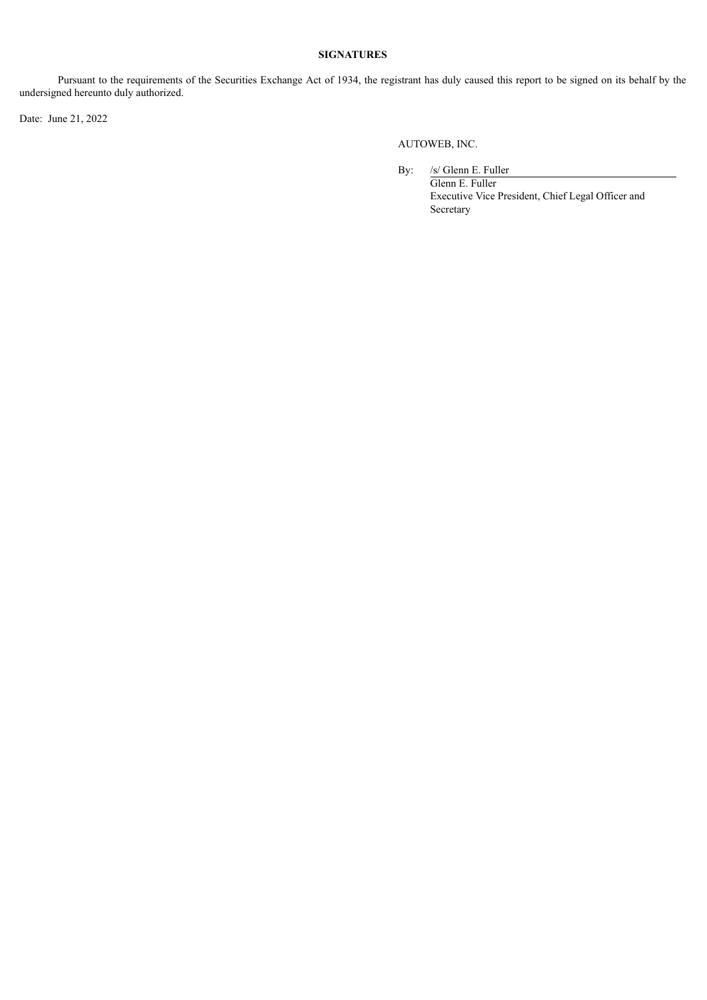#### **SIGNATURES**

Pursuant to the requirements of the Securities Exchange Act of 1934, the registrant has duly caused this report to be signed on its behalf by the undersigned hereunto duly authorized.

Date: June 21, 2022

AUTOWEB, INC.

By: /s/ Glenn E. Fuller Glenn E. Fuller Executive Vice President, Chief Legal Officer and Secretary